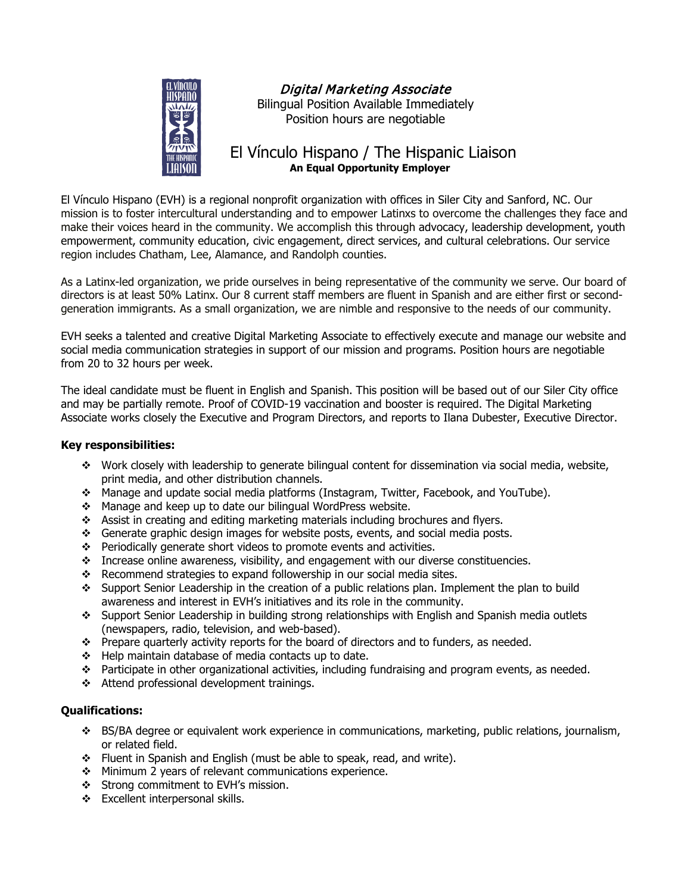

# Digital Marketing Associate

Bilingual Position Available Immediately Position hours are negotiable

# El Vínculo Hispano / The Hispanic Liaison **An Equal Opportunity Employer**

El Vínculo Hispano (EVH) is a regional nonprofit organization with offices in Siler City and Sanford, NC. Our mission is to foster intercultural understanding and to empower Latinxs to overcome the challenges they face and make their voices heard in the community. We accomplish this through advocacy, leadership development, youth empowerment, community education, civic engagement, direct services, and cultural celebrations. Our service region includes Chatham, Lee, Alamance, and Randolph counties.

As a Latinx-led organization, we pride ourselves in being representative of the community we serve. Our board of directors is at least 50% Latinx. Our 8 current staff members are fluent in Spanish and are either first or secondgeneration immigrants. As a small organization, we are nimble and responsive to the needs of our community.

EVH seeks a talented and creative Digital Marketing Associate to effectively execute and manage our website and social media communication strategies in support of our mission and programs. Position hours are negotiable from 20 to 32 hours per week.

The ideal candidate must be fluent in English and Spanish. This position will be based out of our Siler City office and may be partially remote. Proof of COVID-19 vaccination and booster is required. The Digital Marketing Associate works closely the Executive and Program Directors, and reports to Ilana Dubester, Executive Director.

# **Key responsibilities:**

- Work closely with leadership to generate bilingual content for dissemination via social media, website, print media, and other distribution channels.
- Manage and update social media platforms (Instagram, Twitter, Facebook, and YouTube).
- \* Manage and keep up to date our bilingual WordPress website.
- Assist in creating and editing marketing materials including brochures and flyers.
- Generate graphic design images for website posts, events, and social media posts.
- $\div$  Periodically generate short videos to promote events and activities.
- $\cdot \cdot$  Increase online awareness, visibility, and engagement with our diverse constituencies.
- $\cdot$  Recommend strategies to expand followership in our social media sites.
- Support Senior Leadership in the creation of a public relations plan. Implement the plan to build awareness and interest in EVH's initiatives and its role in the community.
- Support Senior Leadership in building strong relationships with English and Spanish media outlets (newspapers, radio, television, and web-based).
- Prepare quarterly activity reports for the board of directors and to funders, as needed.
- $\div$  Help maintain database of media contacts up to date.
- Participate in other organizational activities, including fundraising and program events, as needed.
- \* Attend professional development trainings.

# **Qualifications:**

- BS/BA degree or equivalent work experience in communications, marketing, public relations, journalism, or related field.
- Fluent in Spanish and English (must be able to speak, read, and write).
- ❖ Minimum 2 years of relevant communications experience.
- Strong commitment to EVH's mission.
- ❖ Excellent interpersonal skills.